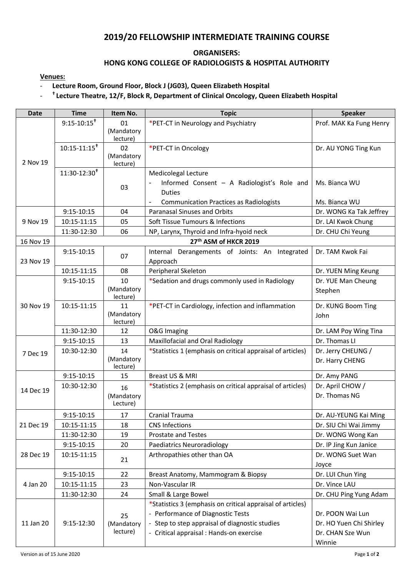# **2019/20 FELLOWSHIP INTERMEDIATE TRAINING COURSE**

### **ORGANISERS:**

### **HONG KONG COLLEGE OF RADIOLOGISTS & HOSPITAL AUTHORITY**

**Venues:** 

#### - **Lecture Room, Ground Floor, Block J (JG03), Queen Elizabeth Hospital**

#### - **† Lecture Theatre, 12/F, Block R, Department of Clinical Oncology, Queen Elizabeth Hospital**

| <b>Date</b> | <b>Time</b>                  | Item No.                     | <b>Topic</b>                                                                                                                                                                                  | <b>Speaker</b>                                                            |  |
|-------------|------------------------------|------------------------------|-----------------------------------------------------------------------------------------------------------------------------------------------------------------------------------------------|---------------------------------------------------------------------------|--|
| 2 Nov 19    | $9:15 - 10:15$ <sup>t</sup>  | 01<br>(Mandatory<br>lecture) | *PET-CT in Neurology and Psychiatry                                                                                                                                                           | Prof. MAK Ka Fung Henry                                                   |  |
|             | $10:15 - 11:15$ <sup>t</sup> | 02<br>(Mandatory<br>lecture) | *PET-CT in Oncology                                                                                                                                                                           | Dr. AU YONG Ting Kun                                                      |  |
|             | $11:30-12:30$ <sup>t</sup>   | 03                           | Medicolegal Lecture<br>Informed Consent - A Radiologist's Role and<br><b>Duties</b><br><b>Communication Practices as Radiologists</b><br>$\overline{a}$                                       | Ms. Bianca WU<br>Ms. Bianca WU                                            |  |
| 9 Nov 19    | $9:15 - 10:15$               | 04                           | Paranasal Sinuses and Orbits                                                                                                                                                                  | Dr. WONG Ka Tak Jeffrey                                                   |  |
|             | 10:15-11:15                  | 05                           | Soft Tissue Tumours & Infections                                                                                                                                                              | Dr. LAI Kwok Chung                                                        |  |
|             | 11:30-12:30                  | 06                           | NP, Larynx, Thyroid and Infra-hyoid neck                                                                                                                                                      | Dr. CHU Chi Yeung                                                         |  |
| 16 Nov 19   | 27th ASM of HKCR 2019        |                              |                                                                                                                                                                                               |                                                                           |  |
| 23 Nov 19   | $9:15-10:15$                 | 07                           | Internal Derangements of Joints: An Integrated<br>Approach                                                                                                                                    | Dr. TAM Kwok Fai                                                          |  |
|             | 10:15-11:15                  | 08                           | Peripheral Skeleton                                                                                                                                                                           | Dr. YUEN Ming Keung                                                       |  |
| 30 Nov 19   | $9:15 - 10:15$               | 10<br>(Mandatory<br>lecture) | *Sedation and drugs commonly used in Radiology                                                                                                                                                | Dr. YUE Man Cheung<br>Stephen                                             |  |
|             | 10:15-11:15                  | 11<br>(Mandatory<br>lecture) | *PET-CT in Cardiology, infection and inflammation                                                                                                                                             | Dr. KUNG Boom Ting<br>John                                                |  |
|             | 11:30-12:30                  | 12                           | <b>O&amp;G Imaging</b>                                                                                                                                                                        | Dr. LAM Poy Wing Tina                                                     |  |
|             | $9:15-10:15$                 | 13                           | Maxillofacial and Oral Radiology                                                                                                                                                              | Dr. Thomas LI                                                             |  |
| 7 Dec 19    | 10:30-12:30                  | 14<br>(Mandatory<br>lecture) | *Statistics 1 (emphasis on critical appraisal of articles)                                                                                                                                    | Dr. Jerry CHEUNG /<br>Dr. Harry CHENG                                     |  |
|             | $9:15-10:15$                 | 15                           | Breast US & MRI                                                                                                                                                                               | Dr. Amy PANG                                                              |  |
| 14 Dec 19   | 10:30-12:30                  | 16<br>(Mandatory<br>Lecture) | *Statistics 2 (emphasis on critical appraisal of articles)                                                                                                                                    | Dr. April CHOW /<br>Dr. Thomas NG                                         |  |
| 21 Dec 19   | 9:15-10:15                   | 17                           | Cranial Trauma                                                                                                                                                                                | Dr. AU-YEUNG Kai Ming                                                     |  |
|             | 10:15-11:15                  | 18                           | <b>CNS Infections</b>                                                                                                                                                                         | Dr. SIU Chi Wai Jimmy                                                     |  |
|             | 11:30-12:30                  | 19                           | <b>Prostate and Testes</b>                                                                                                                                                                    | Dr. WONG Wong Kan                                                         |  |
| 28 Dec 19   | $9:15 - 10:15$               | 20                           | Paediatrics Neuroradiology                                                                                                                                                                    | Dr. IP Jing Kun Janice                                                    |  |
|             | 10:15-11:15                  | 21                           | Arthropathies other than OA                                                                                                                                                                   | Dr. WONG Suet Wan<br>Joyce                                                |  |
| 4 Jan 20    | $9:15 - 10:15$               | 22                           | Breast Anatomy, Mammogram & Biopsy                                                                                                                                                            | Dr. LUI Chun Ying                                                         |  |
|             | 10:15-11:15                  | 23                           | Non-Vascular IR                                                                                                                                                                               | Dr. Vince LAU                                                             |  |
|             | 11:30-12:30                  | 24                           | Small & Large Bowel                                                                                                                                                                           | Dr. CHU Ping Yung Adam                                                    |  |
| 11 Jan 20   | 9:15-12:30                   | 25<br>(Mandatory<br>lecture) | *Statistics 3 (emphasis on critical appraisal of articles)<br>- Performance of Diagnostic Tests<br>- Step to step appraisal of diagnostic studies<br>- Critical appraisal : Hands-on exercise | Dr. POON Wai Lun<br>Dr. HO Yuen Chi Shirley<br>Dr. CHAN Sze Wun<br>Winnie |  |